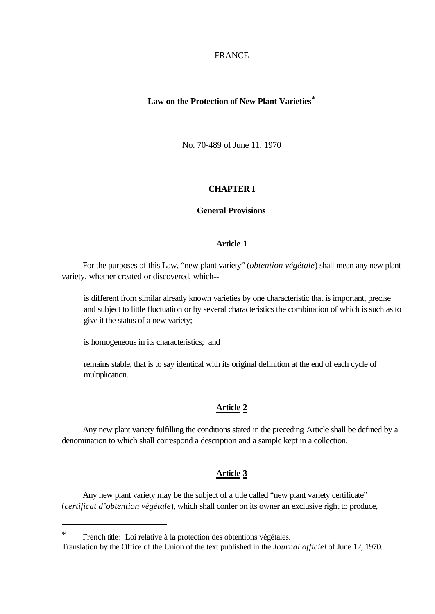FRANCE

# **Law on the Protection of New Plant Varieties**\*

No. 70-489 of June 11, 1970

#### **CHAPTER I**

#### **General Provisions**

### **Article 1**

For the purposes of this Law, "new plant variety" (*obtention végétale*) shall mean any new plant variety, whether created or discovered, which--

is different from similar already known varieties by one characteristic that is important, precise and subject to little fluctuation or by several characteristics the combination of which is such as to give it the status of a new variety;

is homogeneous in its characteristics; and

remains stable, that is to say identical with its original definition at the end of each cycle of multiplication.

# **Article 2**

Any new plant variety fulfilling the conditions stated in the preceding Article shall be defined by a denomination to which shall correspond a description and a sample kept in a collection.

# **Article 3**

Any new plant variety may be the subject of a title called "new plant variety certificate" (*certificat d'obtention végétale*), which shall confer on its owner an exclusive right to produce,

l

French title: Loi relative à la protection des obtentions végétales.

Translation by the Office of the Union of the text published in the *Journal officiel* of June 12, 1970.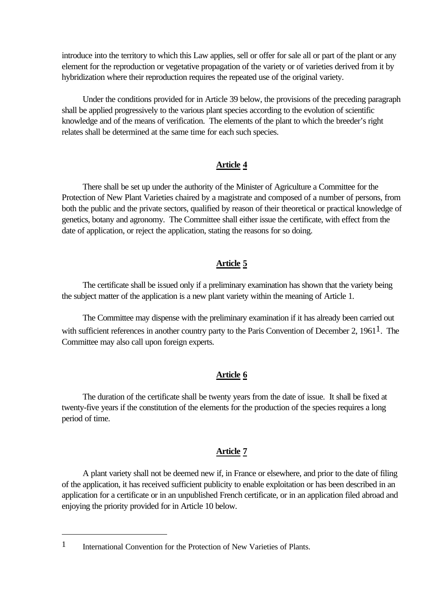introduce into the territory to which this Law applies, sell or offer for sale all or part of the plant or any element for the reproduction or vegetative propagation of the variety or of varieties derived from it by hybridization where their reproduction requires the repeated use of the original variety.

Under the conditions provided for in Article 39 below, the provisions of the preceding paragraph shall be applied progressively to the various plant species according to the evolution of scientific knowledge and of the means of verification. The elements of the plant to which the breeder's right relates shall be determined at the same time for each such species.

# **Article 4**

There shall be set up under the authority of the Minister of Agriculture a Committee for the Protection of New Plant Varieties chaired by a magistrate and composed of a number of persons, from both the public and the private sectors, qualified by reason of their theoretical or practical knowledge of genetics, botany and agronomy. The Committee shall either issue the certificate, with effect from the date of application, or reject the application, stating the reasons for so doing.

# **Article 5**

The certificate shall be issued only if a preliminary examination has shown that the variety being the subject matter of the application is a new plant variety within the meaning of Article 1.

The Committee may dispense with the preliminary examination if it has already been carried out with sufficient references in another country party to the Paris Convention of December 2, 1961<sup>1</sup>. The Committee may also call upon foreign experts.

## **Article 6**

The duration of the certificate shall be twenty years from the date of issue. It shall be fixed at twenty-five years if the constitution of the elements for the production of the species requires a long period of time.

## **Article 7**

A plant variety shall not be deemed new if, in France or elsewhere, and prior to the date of filing of the application, it has received sufficient publicity to enable exploitation or has been described in an application for a certificate or in an unpublished French certificate, or in an application filed abroad and enjoying the priority provided for in Article 10 below.

l

<sup>1</sup> International Convention for the Protection of New Varieties of Plants.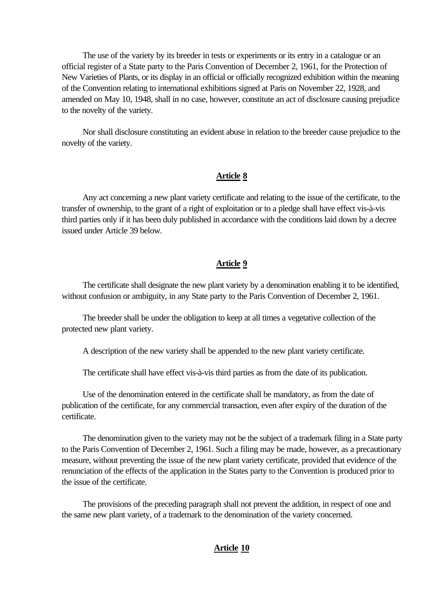The use of the variety by its breeder in tests or experiments or its entry in a catalogue or an official register of a State party to the Paris Convention of December 2, 1961, for the Protection of New Varieties of Plants, or its display in an official or officially recognized exhibition within the meaning of the Convention relating to international exhibitions signed at Paris on November 22, 1928, and amended on May 10, 1948, shall in no case, however, constitute an act of disclosure causing prejudice to the novelty of the variety.

Nor shall disclosure constituting an evident abuse in relation to the breeder cause prejudice to the novelty of the variety.

#### **Article 8**

Any act concerning a new plant variety certificate and relating to the issue of the certificate, to the transfer of ownership, to the grant of a right of exploitation or to a pledge shall have effect vis-à-vis third parties only if it has been duly published in accordance with the conditions laid down by a decree issued under Article 39 below.

## **Article 9**

The certificate shall designate the new plant variety by a denomination enabling it to be identified, without confusion or ambiguity, in any State party to the Paris Convention of December 2, 1961.

The breeder shall be under the obligation to keep at all times a vegetative collection of the protected new plant variety.

A description of the new variety shall be appended to the new plant variety certificate.

The certificate shall have effect vis-à-vis third parties as from the date of its publication.

Use of the denomination entered in the certificate shall be mandatory, as from the date of publication of the certificate, for any commercial transaction, even after expiry of the duration of the certificate.

The denomination given to the variety may not be the subject of a trademark filing in a State party to the Paris Convention of December 2, 1961. Such a filing may be made, however, as a precautionary measure, without preventing the issue of the new plant variety certificate, provided that evidence of the renunciation of the effects of the application in the States party to the Convention is produced prior to the issue of the certificate.

The provisions of the preceding paragraph shall not prevent the addition, in respect of one and the same new plant variety, of a trademark to the denomination of the variety concerned.

## **Article 10**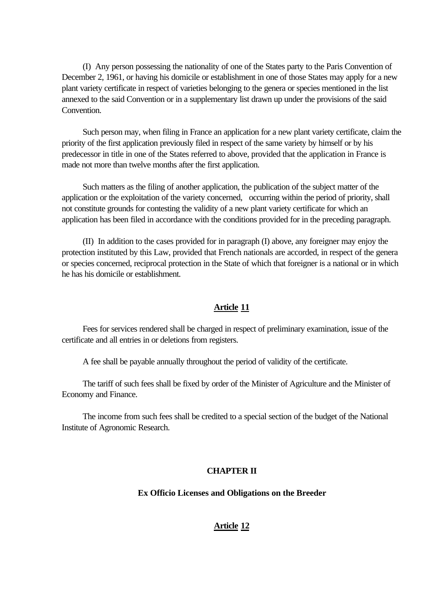(I) Any person possessing the nationality of one of the States party to the Paris Convention of December 2, 1961, or having his domicile or establishment in one of those States may apply for a new plant variety certificate in respect of varieties belonging to the genera or species mentioned in the list annexed to the said Convention or in a supplementary list drawn up under the provisions of the said Convention.

Such person may, when filing in France an application for a new plant variety certificate, claim the priority of the first application previously filed in respect of the same variety by himself or by his predecessor in title in one of the States referred to above, provided that the application in France is made not more than twelve months after the first application.

Such matters as the filing of another application, the publication of the subject matter of the application or the exploitation of the variety concerned, occurring within the period of priority, shall not constitute grounds for contesting the validity of a new plant variety certificate for which an application has been filed in accordance with the conditions provided for in the preceding paragraph.

(II) In addition to the cases provided for in paragraph (I) above, any foreigner may enjoy the protection instituted by this Law, provided that French nationals are accorded, in respect of the genera or species concerned, reciprocal protection in the State of which that foreigner is a national or in which he has his domicile or establishment.

# **Article 11**

Fees for services rendered shall be charged in respect of preliminary examination, issue of the certificate and all entries in or deletions from registers.

A fee shall be payable annually throughout the period of validity of the certificate.

The tariff of such fees shall be fixed by order of the Minister of Agriculture and the Minister of Economy and Finance.

The income from such fees shall be credited to a special section of the budget of the National Institute of Agronomic Research.

## **CHAPTER II**

#### **Ex Officio Licenses and Obligations on the Breeder**

## **Article 12**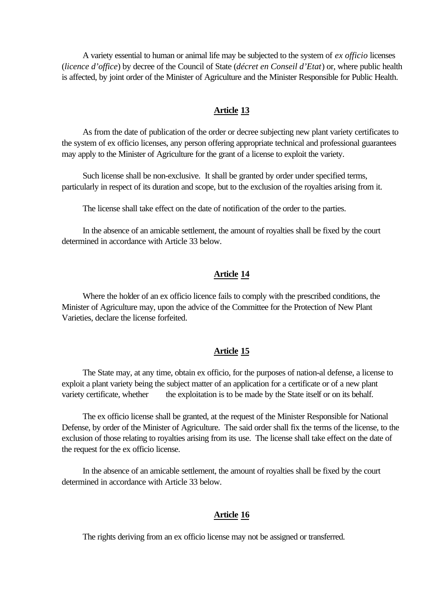A variety essential to human or animal life may be subjected to the system of *ex officio* licenses (*licence d'office*) by decree of the Council of State (*décret en Conseil d'Etat*) or, where public health is affected, by joint order of the Minister of Agriculture and the Minister Responsible for Public Health.

## **Article 13**

As from the date of publication of the order or decree subjecting new plant variety certificates to the system of ex officio licenses, any person offering appropriate technical and professional guarantees may apply to the Minister of Agriculture for the grant of a license to exploit the variety.

Such license shall be non-exclusive. It shall be granted by order under specified terms, particularly in respect of its duration and scope, but to the exclusion of the royalties arising from it.

The license shall take effect on the date of notification of the order to the parties.

In the absence of an amicable settlement, the amount of royalties shall be fixed by the court determined in accordance with Article 33 below.

# **Article 14**

Where the holder of an ex officio licence fails to comply with the prescribed conditions, the Minister of Agriculture may, upon the advice of the Committee for the Protection of New Plant Varieties, declare the license forfeited.

## **Article 15**

The State may, at any time, obtain ex officio, for the purposes of nation-al defense, a license to exploit a plant variety being the subject matter of an application for a certificate or of a new plant variety certificate, whether the exploitation is to be made by the State itself or on its behalf.

The ex officio license shall be granted, at the request of the Minister Responsible for National Defense, by order of the Minister of Agriculture. The said order shall fix the terms of the license, to the exclusion of those relating to royalties arising from its use. The license shall take effect on the date of the request for the ex officio license.

In the absence of an amicable settlement, the amount of royalties shall be fixed by the court determined in accordance with Article 33 below.

# **Article 16**

The rights deriving from an ex officio license may not be assigned or transferred.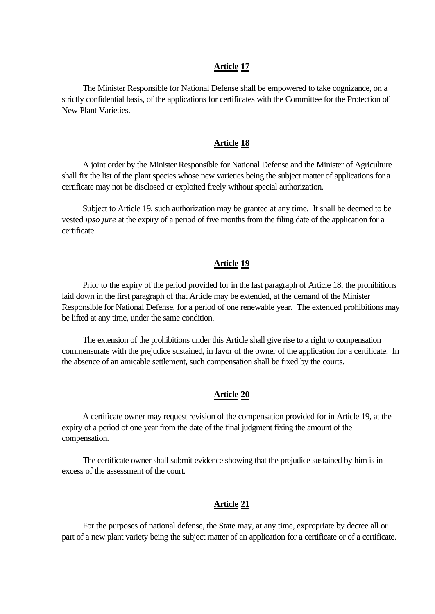#### **Article 17**

The Minister Responsible for National Defense shall be empowered to take cognizance, on a strictly confidential basis, of the applications for certificates with the Committee for the Protection of New Plant Varieties.

#### **Article 18**

A joint order by the Minister Responsible for National Defense and the Minister of Agriculture shall fix the list of the plant species whose new varieties being the subject matter of applications for a certificate may not be disclosed or exploited freely without special authorization.

Subject to Article 19, such authorization may be granted at any time. It shall be deemed to be vested *ipso jure* at the expiry of a period of five months from the filing date of the application for a certificate.

#### **Article 19**

Prior to the expiry of the period provided for in the last paragraph of Article 18, the prohibitions laid down in the first paragraph of that Article may be extended, at the demand of the Minister Responsible for National Defense, for a period of one renewable year. The extended prohibitions may be lifted at any time, under the same condition.

The extension of the prohibitions under this Article shall give rise to a right to compensation commensurate with the prejudice sustained, in favor of the owner of the application for a certificate. In the absence of an amicable settlement, such compensation shall be fixed by the courts.

# **Article 20**

A certificate owner may request revision of the compensation provided for in Article 19, at the expiry of a period of one year from the date of the final judgment fixing the amount of the compensation.

The certificate owner shall submit evidence showing that the prejudice sustained by him is in excess of the assessment of the court.

### **Article 21**

For the purposes of national defense, the State may, at any time, expropriate by decree all or part of a new plant variety being the subject matter of an application for a certificate or of a certificate.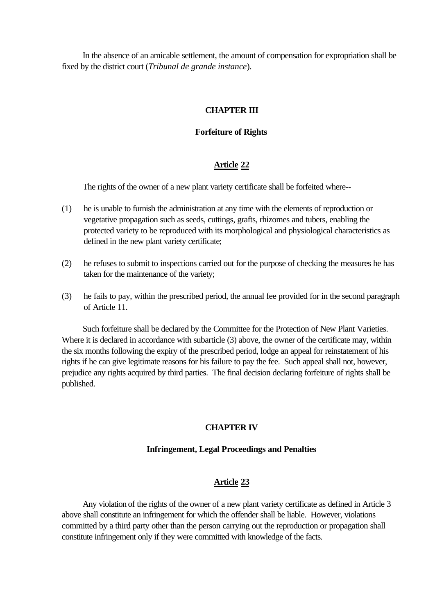In the absence of an amicable settlement, the amount of compensation for expropriation shall be fixed by the district court (*Tribunal de grande instance*).

# **CHAPTER III**

# **Forfeiture of Rights**

# **Article 22**

The rights of the owner of a new plant variety certificate shall be forfeited where--

- (1) he is unable to furnish the administration at any time with the elements of reproduction or vegetative propagation such as seeds, cuttings, grafts, rhizomes and tubers, enabling the protected variety to be reproduced with its morphological and physiological characteristics as defined in the new plant variety certificate;
- (2) he refuses to submit to inspections carried out for the purpose of checking the measures he has taken for the maintenance of the variety;
- (3) he fails to pay, within the prescribed period, the annual fee provided for in the second paragraph of Article 11.

Such forfeiture shall be declared by the Committee for the Protection of New Plant Varieties. Where it is declared in accordance with subarticle (3) above, the owner of the certificate may, within the six months following the expiry of the prescribed period, lodge an appeal for reinstatement of his rights if he can give legitimate reasons for his failure to pay the fee. Such appeal shall not, however, prejudice any rights acquired by third parties. The final decision declaring forfeiture of rights shall be published.

# **CHAPTER IV**

# **Infringement, Legal Proceedings and Penalties**

# **Article 23**

Any violation of the rights of the owner of a new plant variety certificate as defined in Article 3 above shall constitute an infringement for which the offender shall be liable. However, violations committed by a third party other than the person carrying out the reproduction or propagation shall constitute infringement only if they were committed with knowledge of the facts.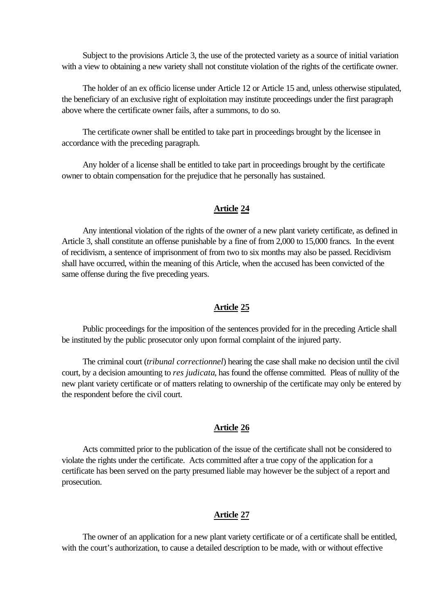Subject to the provisions Article 3, the use of the protected variety as a source of initial variation with a view to obtaining a new variety shall not constitute violation of the rights of the certificate owner.

The holder of an ex officio license under Article 12 or Article 15 and, unless otherwise stipulated, the beneficiary of an exclusive right of exploitation may institute proceedings under the first paragraph above where the certificate owner fails, after a summons, to do so.

The certificate owner shall be entitled to take part in proceedings brought by the licensee in accordance with the preceding paragraph.

Any holder of a license shall be entitled to take part in proceedings brought by the certificate owner to obtain compensation for the prejudice that he personally has sustained.

### **Article 24**

Any intentional violation of the rights of the owner of a new plant variety certificate, as defined in Article 3, shall constitute an offense punishable by a fine of from 2,000 to 15,000 francs. In the event of recidivism, a sentence of imprisonment of from two to six months may also be passed. Recidivism shall have occurred, within the meaning of this Article, when the accused has been convicted of the same offense during the five preceding years.

# **Article 25**

Public proceedings for the imposition of the sentences provided for in the preceding Article shall be instituted by the public prosecutor only upon formal complaint of the injured party.

The criminal court (*tribunal correctionnel*) hearing the case shall make no decision until the civil court, by a decision amounting to *res judicata*, has found the offense committed. Pleas of nullity of the new plant variety certificate or of matters relating to ownership of the certificate may only be entered by the respondent before the civil court.

### **Article 26**

Acts committed prior to the publication of the issue of the certificate shall not be considered to violate the rights under the certificate. Acts committed after a true copy of the application for a certificate has been served on the party presumed liable may however be the subject of a report and prosecution.

#### **Article 27**

The owner of an application for a new plant variety certificate or of a certificate shall be entitled, with the court's authorization, to cause a detailed description to be made, with or without effective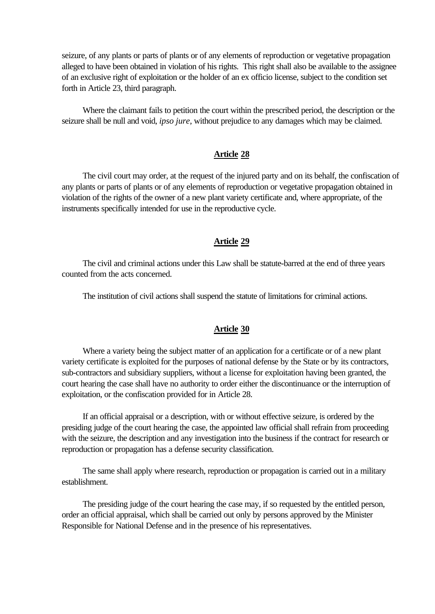seizure, of any plants or parts of plants or of any elements of reproduction or vegetative propagation alleged to have been obtained in violation of his rights. This right shall also be available to the assignee of an exclusive right of exploitation or the holder of an ex officio license, subject to the condition set forth in Article 23, third paragraph.

Where the claimant fails to petition the court within the prescribed period, the description or the seizure shall be null and void, *ipso jure*, without prejudice to any damages which may be claimed.

## **Article 28**

The civil court may order, at the request of the injured party and on its behalf, the confiscation of any plants or parts of plants or of any elements of reproduction or vegetative propagation obtained in violation of the rights of the owner of a new plant variety certificate and, where appropriate, of the instruments specifically intended for use in the reproductive cycle.

## **Article 29**

The civil and criminal actions under this Law shall be statute-barred at the end of three years counted from the acts concerned.

The institution of civil actions shall suspend the statute of limitations for criminal actions.

#### **Article 30**

Where a variety being the subject matter of an application for a certificate or of a new plant variety certificate is exploited for the purposes of national defense by the State or by its contractors, sub-contractors and subsidiary suppliers, without a license for exploitation having been granted, the court hearing the case shall have no authority to order either the discontinuance or the interruption of exploitation, or the confiscation provided for in Article 28.

If an official appraisal or a description, with or without effective seizure, is ordered by the presiding judge of the court hearing the case, the appointed law official shall refrain from proceeding with the seizure, the description and any investigation into the business if the contract for research or reproduction or propagation has a defense security classification.

The same shall apply where research, reproduction or propagation is carried out in a military establishment.

The presiding judge of the court hearing the case may, if so requested by the entitled person, order an official appraisal, which shall be carried out only by persons approved by the Minister Responsible for National Defense and in the presence of his representatives.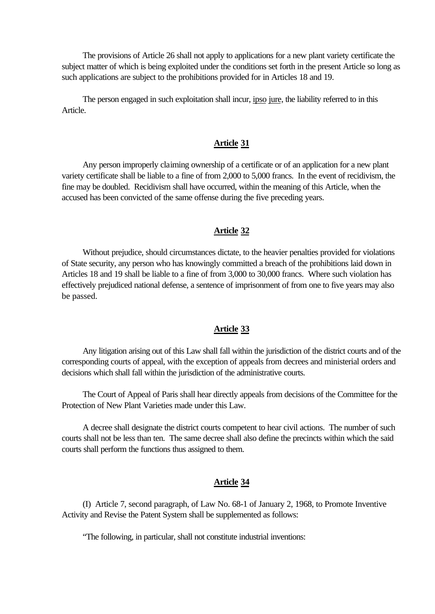The provisions of Article 26 shall not apply to applications for a new plant variety certificate the subject matter of which is being exploited under the conditions set forth in the present Article so long as such applications are subject to the prohibitions provided for in Articles 18 and 19.

The person engaged in such exploitation shall incur, ipso jure, the liability referred to in this Article.

## **Article 31**

Any person improperly claiming ownership of a certificate or of an application for a new plant variety certificate shall be liable to a fine of from 2,000 to 5,000 francs. In the event of recidivism, the fine may be doubled. Recidivism shall have occurred, within the meaning of this Article, when the accused has been convicted of the same offense during the five preceding years.

# **Article 32**

Without prejudice, should circumstances dictate, to the heavier penalties provided for violations of State security, any person who has knowingly committed a breach of the prohibitions laid down in Articles 18 and 19 shall be liable to a fine of from 3,000 to 30,000 francs. Where such violation has effectively prejudiced national defense, a sentence of imprisonment of from one to five years may also be passed.

#### **Article 33**

Any litigation arising out of this Law shall fall within the jurisdiction of the district courts and of the corresponding courts of appeal, with the exception of appeals from decrees and ministerial orders and decisions which shall fall within the jurisdiction of the administrative courts.

The Court of Appeal of Paris shall hear directly appeals from decisions of the Committee for the Protection of New Plant Varieties made under this Law.

A decree shall designate the district courts competent to hear civil actions. The number of such courts shall not be less than ten. The same decree shall also define the precincts within which the said courts shall perform the functions thus assigned to them.

## **Article 34**

(I) Article 7, second paragraph, of Law No. 68-1 of January 2, 1968, to Promote Inventive Activity and Revise the Patent System shall be supplemented as follows:

"The following, in particular, shall not constitute industrial inventions: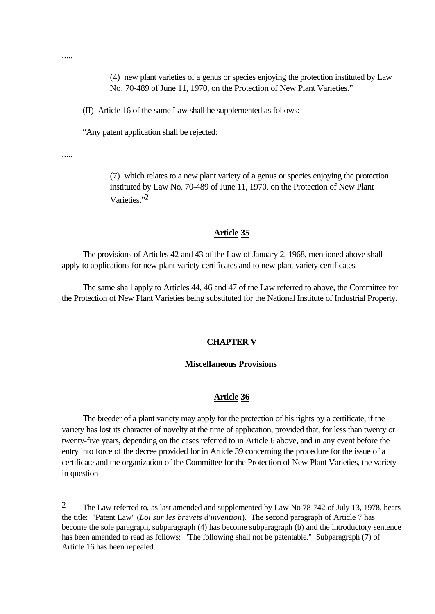(4) new plant varieties of a genus or species enjoying the protection instituted by Law No. 70-489 of June 11, 1970, on the Protection of New Plant Varieties."

(II) Article 16 of the same Law shall be supplemented as follows:

"Any patent application shall be rejected:

.....

l

(7) which relates to a new plant variety of a genus or species enjoying the protection instituted by Law No. 70-489 of June 11, 1970, on the Protection of New Plant Varieties<sup>"2</sup>

#### **Article 35**

The provisions of Articles 42 and 43 of the Law of January 2, 1968, mentioned above shall apply to applications for new plant variety certificates and to new plant variety certificates.

The same shall apply to Articles 44, 46 and 47 of the Law referred to above, the Committee for the Protection of New Plant Varieties being substituted for the National Institute of Industrial Property.

#### **CHAPTER V**

## **Miscellaneous Provisions**

#### **Article 36**

The breeder of a plant variety may apply for the protection of his rights by a certificate, if the variety has lost its character of novelty at the time of application, provided that, for less than twenty or twenty-five years, depending on the cases referred to in Article 6 above, and in any event before the entry into force of the decree provided for in Article 39 concerning the procedure for the issue of a certificate and the organization of the Committee for the Protection of New Plant Varieties, the variety in question--

.....

<sup>&</sup>lt;sup>2</sup> The Law referred to, as last amended and supplemented by Law No 78-742 of July 13, 1978, bears the title: "Patent Law" (*Loi sur les brevets d'invention*). The second paragraph of Article 7 has become the sole paragraph, subparagraph (4) has become subparagraph (b) and the introductory sentence has been amended to read as follows: "The following shall not be patentable." Subparagraph (7) of Article 16 has been repealed.